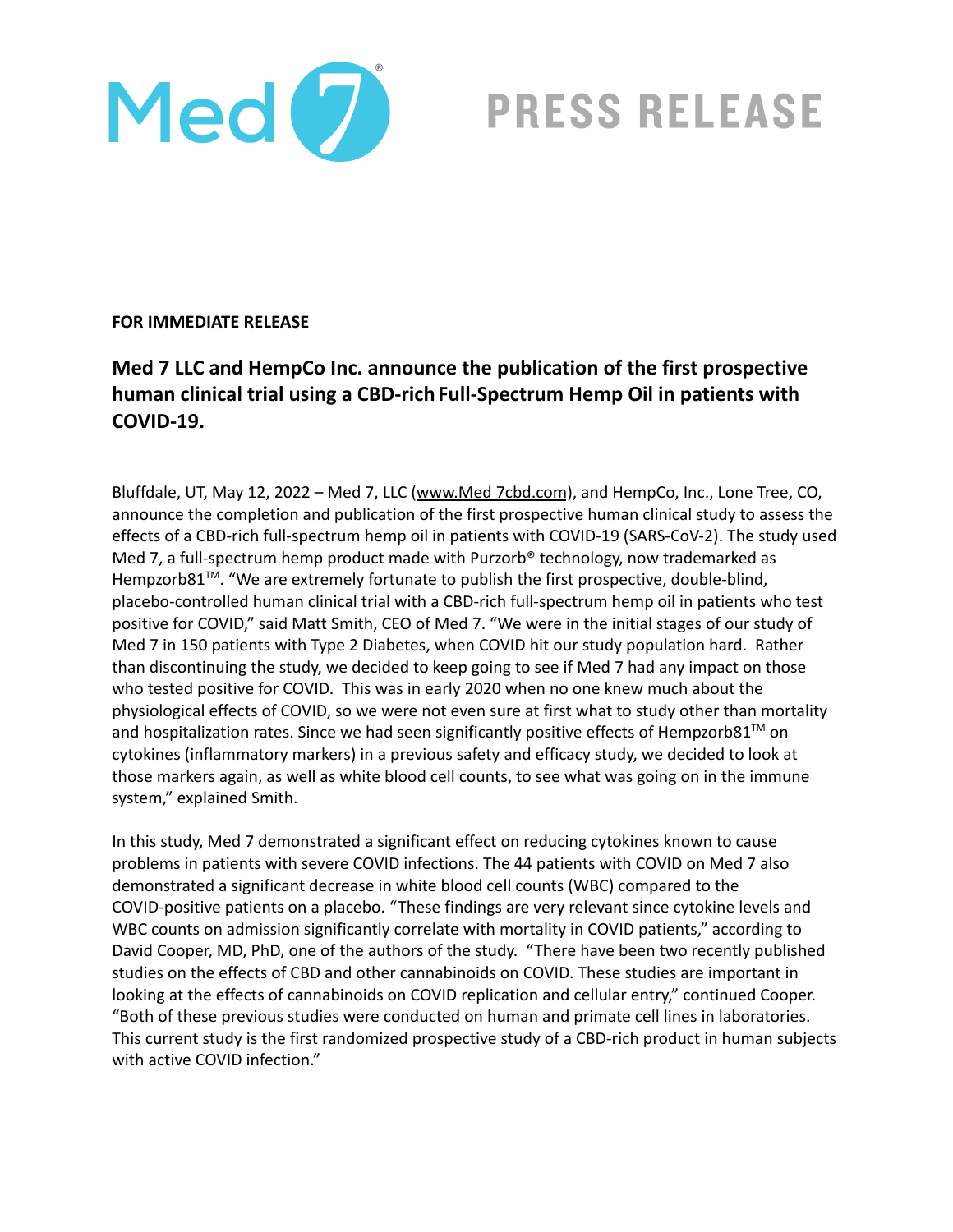

**PRESS RELEASE** 

## **FOR IMMEDIATE RELEASE**

## **Med 7 LLC and HempCo Inc. announce the publication of the first prospective human clinical trial using a CBD-rich Full-Spectrum Hemp Oil in patients with COVID-19.**

Bluffdale, UT, May 12, 2022 - Med 7, LLC ([www.Med](http://www.med7cbd.com) 7cbd.com), and HempCo, Inc., Lone Tree, CO, announce the completion and publication of the first prospective human clinical study to assess the effects of a CBD-rich full-spectrum hemp oil in patients with COVID-19 (SARS-CoV-2). The study used Med 7, a full-spectrum hemp product made with Purzorb<sup>®</sup> technology, now trademarked as Hempzorb81<sup>™</sup>. "We are extremely fortunate to publish the first prospective, double-blind, placebo-controlled human clinical trial with a CBD-rich full-spectrum hemp oil in patients who test positive for COVID," said Matt Smith, CEO of Med 7. "We were in the initial stages of our study of Med 7 in 150 patients with Type 2 Diabetes, when COVID hit our study population hard. Rather than discontinuing the study, we decided to keep going to see if Med 7 had any impact on those who tested positive for COVID. This was in early 2020 when no one knew much about the physiological effects of COVID, so we were not even sure at first what to study other than mortality and hospitalization rates. Since we had seen significantly positive effects of Hempzorb81<sup>™</sup> on cytokines (inflammatory markers) in a previous safety and efficacy study, we decided to look at those markers again, as well as white blood cell counts, to see what was going on in the immune system," explained Smith.

In this study, Med 7 demonstrated a significant effect on reducing cytokines known to cause problems in patients with severe COVID infections. The 44 patients with COVID on Med 7 also demonstrated a significant decrease in white blood cell counts (WBC) compared to the COVID-positive patients on a placebo. "These findings are very relevant since cytokine levels and WBC counts on admission significantly correlate with mortality in COVID patients," according to David Cooper, MD, PhD, one of the authors of the study. "There have been two recently published studies on the effects of CBD and other cannabinoids on COVID. These studies are important in looking at the effects of cannabinoids on COVID replication and cellular entry," continued Cooper. "Both of these previous studies were conducted on human and primate cell lines in laboratories. This current study is the first randomized prospective study of a CBD-rich product in human subjects with active COVID infection."